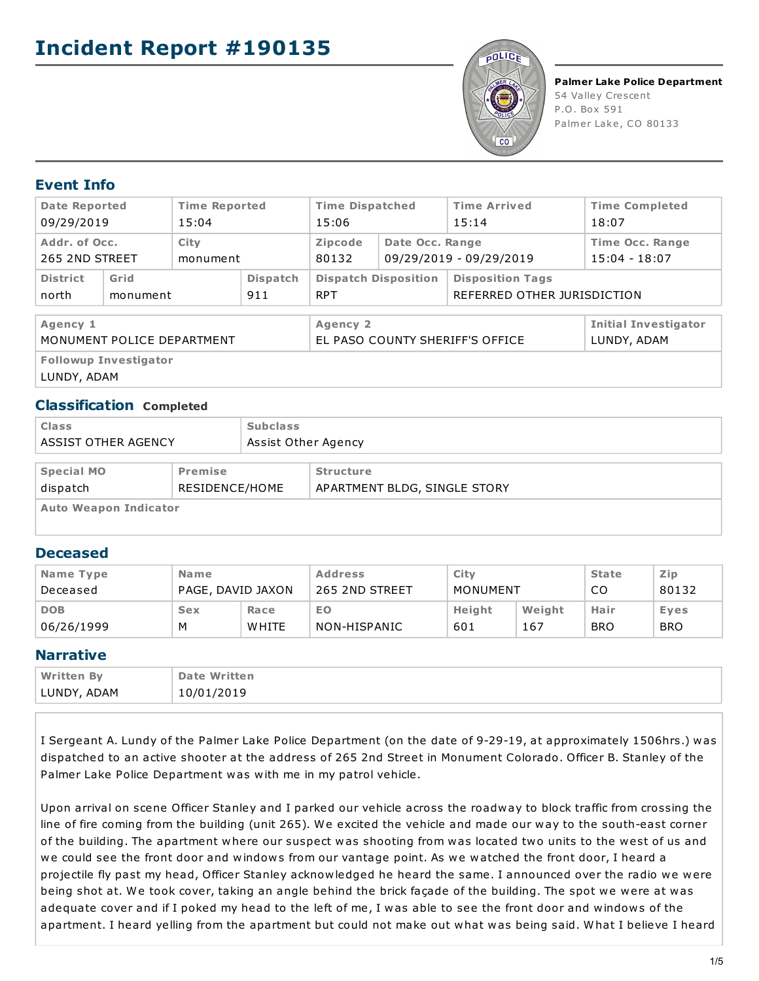

**Palmer Lake Police Department** 54 Valley Crescent P.O. Box 591 Palmer Lake, CO 80133

# **Event Info**

| <b>Date Reported</b><br>09/29/2019          |                  | <b>Time Reported</b><br>15:04 |                                             | <b>Time Dispatched</b><br>15:06           |                                            | <b>Time Arrived</b><br><b>Time Completed</b><br>18:07<br>15:14 |                                           |
|---------------------------------------------|------------------|-------------------------------|---------------------------------------------|-------------------------------------------|--------------------------------------------|----------------------------------------------------------------|-------------------------------------------|
| Addr. of Occ.<br>265 2ND STREET             |                  | City<br>monument              |                                             | Zipcode<br>80132                          | Date Occ. Range                            | 09/29/2019 - 09/29/2019                                        | <b>Time Occ. Range</b><br>$15:04 - 18:07$ |
| <b>District</b><br>north                    | Grid<br>monument | <b>Dispatch</b><br>911        |                                             | <b>Dispatch Disposition</b><br><b>RPT</b> |                                            | <b>Disposition Tags</b><br>REFERRED OTHER JURISDICTION         |                                           |
| Agency 1<br>MONUMENT POLICE DEPARTMENT      |                  |                               | Agency 2<br>EL PASO COUNTY SHERIFF'S OFFICE |                                           | <b>Initial Investigator</b><br>LUNDY, ADAM |                                                                |                                           |
| <b>Followup Investigator</b><br>LUNDY, ADAM |                  |                               |                                             |                                           |                                            |                                                                |                                           |

## **Classification Completed**

| <b>Class</b><br><b>ASSIST OTHER AGENCY</b>                 |  | <b>Subclass</b> | Assist Other Agency                              |  |  |
|------------------------------------------------------------|--|-----------------|--------------------------------------------------|--|--|
| <b>Special MO</b><br>Premise<br>dispatch<br>RESIDENCE/HOME |  |                 | <b>Structure</b><br>APARTMENT BLDG, SINGLE STORY |  |  |
| <b>Auto Weapon Indicator</b>                               |  |                 |                                                  |  |  |

## **Deceased**

| Name Type  | <b>Name</b>       |              | <b>Address</b> | City     |        | <b>State</b> | Zip        |
|------------|-------------------|--------------|----------------|----------|--------|--------------|------------|
| Deceased   | PAGE, DAVID JAXON |              | 265 2ND STREET | MONUMENT |        | CO           | 80132      |
| <b>DOB</b> | <b>Sex</b>        | Race         | EO             | Height   | Weight | Hair         | Eyes       |
| 06/26/1999 | M                 | <b>WHITE</b> | NON-HISPANIC   | 601      | 167    | <b>BRO</b>   | <b>BRO</b> |

## **Narrative**

| <b>Written By</b> | <b>Date Written</b> |
|-------------------|---------------------|
| LUNDY, ADAM       | 10/01/2019          |

I Sergeant A. Lundy of the Palmer Lake Police Department (on the date of 9-29-19, at approximately 1506hrs.) was dispatched to an active shooter at the address of 265 2nd Street in Monument Colorado. Officer B. Stanley of the Palmer Lake Police Department was with me in my patrol vehicle.

Upon arrival on scene Officer Stanley and I parked our vehicle across the roadway to block traffic from crossing the line of fire coming from the building (unit 265). We excited the vehicle and made our way to the south-east corner of the building. The apartment where our suspect was shooting from was located two units to the west of us and we could see the front door and windows from our vantage point. As we watched the front door, I heard a projectile fly past my head, Officer Stanley acknowledged he heard the same. I announced over the radio we were being shot at. We took cover, taking an angle behind the brick façade of the building. The spot we were at was adequate cover and if I poked my head to the left of me, I was able to see the front door and windows of the apartment. I heard yelling from the apartment but could not make out what was being said. What I believe I heard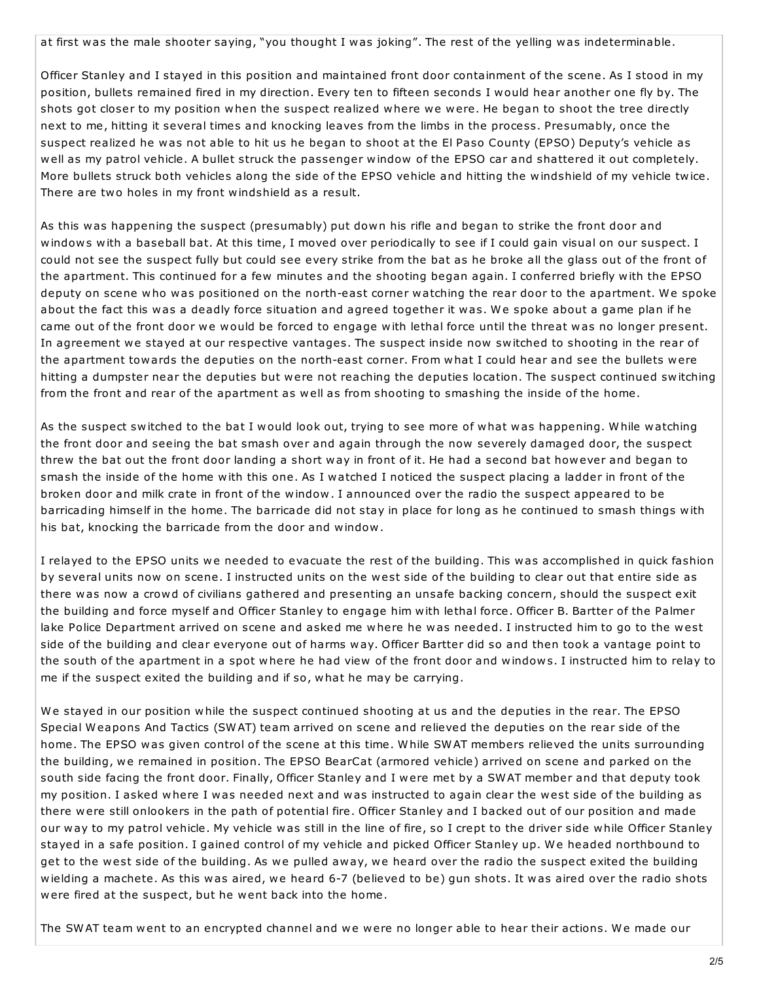at first was the male shooter saying, "you thought I was joking". The rest of the yelling was indeterminable.

Officer Stanley and I stayed in this position and maintained front door containment of the scene. As I stood in my position, bullets remained fired in my direction. Every ten to fifteen seconds I would hear another one fly by. The shots got closer to my position when the suspect realized where we were. He began to shoot the tree directly next to me, hitting it several times and knocking leaves from the limbs in the process. Presumably, once the suspect realized he was not able to hit us he began to shoot at the El Paso County (EPSO) Deputy's vehicle as well as my patrol vehicle. A bullet struck the passenger window of the EPSO car and shattered it out completely. More bullets struck both vehicles along the side of the EPSO vehicle and hitting the windshield of my vehicle twice. There are two holes in my front windshield as a result.

As this was happening the suspect (presumably) put down his rifle and began to strike the front door and windows with a baseball bat. At this time, I moved over periodically to see if I could gain visual on our suspect. I could not see the suspect fully but could see every strike from the bat as he broke all the glass out of the front of the apartment. This continued for a few minutes and the shooting began again. I conferred briefly with the EPSO deputy on scene who was positioned on the north-east corner watching the rear door to the apartment. We spoke about the fact this was a deadly force situation and agreed together it was. We spoke about a game plan if he came out of the front door we would be forced to engage with lethal force until the threat was no longer present. In agreement we stayed at our respective vantages. The suspect inside now switched to shooting in the rear of the apartment towards the deputies on the north-east corner. From what I could hear and see the bullets were hitting a dumpster near the deputies but were not reaching the deputies location. The suspect continued switching from the front and rear of the apartment as well as from shooting to smashing the inside of the home.

As the suspect switched to the bat I would look out, trying to see more of what was happening. While watching the front door and seeing the bat smash over and again through the now severely damaged door, the suspect threw the bat out the front door landing a short way in front of it. He had a second bat however and began to smash the inside of the home with this one. As I watched I noticed the suspect placing a ladder in front of the broken door and milk crate in front of the window. I announced over the radio the suspect appeared to be barricading himself in the home. The barricade did not stay in place for long as he continued to smash things with his bat, knocking the barricade from the door and window.

I relayed to the EPSO units we needed to evacuate the rest of the building. This was accomplished in quick fashion by several units now on scene. I instructed units on the west side of the building to clear out that entire side as there was now a crowd of civilians gathered and presenting an unsafe backing concern, should the suspect exit the building and force myself and Officer Stanley to engage him with lethal force. Officer B. Bartter of the Palmer lake Police Department arrived on scene and asked me where he was needed. I instructed him to go to the west side of the building and clear everyone out of harms way. Officer Bartter did so and then took a vantage point to the south of the apartment in a spot where he had view of the front door and windows. I instructed him to relay to me if the suspect exited the building and if so, what he may be carrying.

We stayed in our position while the suspect continued shooting at us and the deputies in the rear. The EPSO Special Weapons And Tactics (SWAT) team arrived on scene and relieved the deputies on the rear side of the home. The EPSO was given control of the scene at this time. While SWAT members relieved the units surrounding the building, we remained in position. The EPSO BearCat (armored vehicle) arrived on scene and parked on the south side facing the front door. Finally, Officer Stanley and I were met by a SWAT member and that deputy took my position. I asked where I was needed next and was instructed to again clear the west side of the building as there were still onlookers in the path of potential fire. Officer Stanley and I backed out of our position and made our way to my patrol vehicle. My vehicle was still in the line of fire, so I crept to the driver side while Officer Stanley stayed in a safe position. I gained control of my vehicle and picked Officer Stanley up. We headed northbound to get to the west side of the building. As we pulled away, we heard over the radio the suspect exited the building wielding a machete. As this was aired, we heard 6-7 (believed to be) gun shots. It was aired over the radio shots were fired at the suspect, but he went back into the home.

The SWAT team went to an encrypted channel and we were no longer able to hear their actions. We made our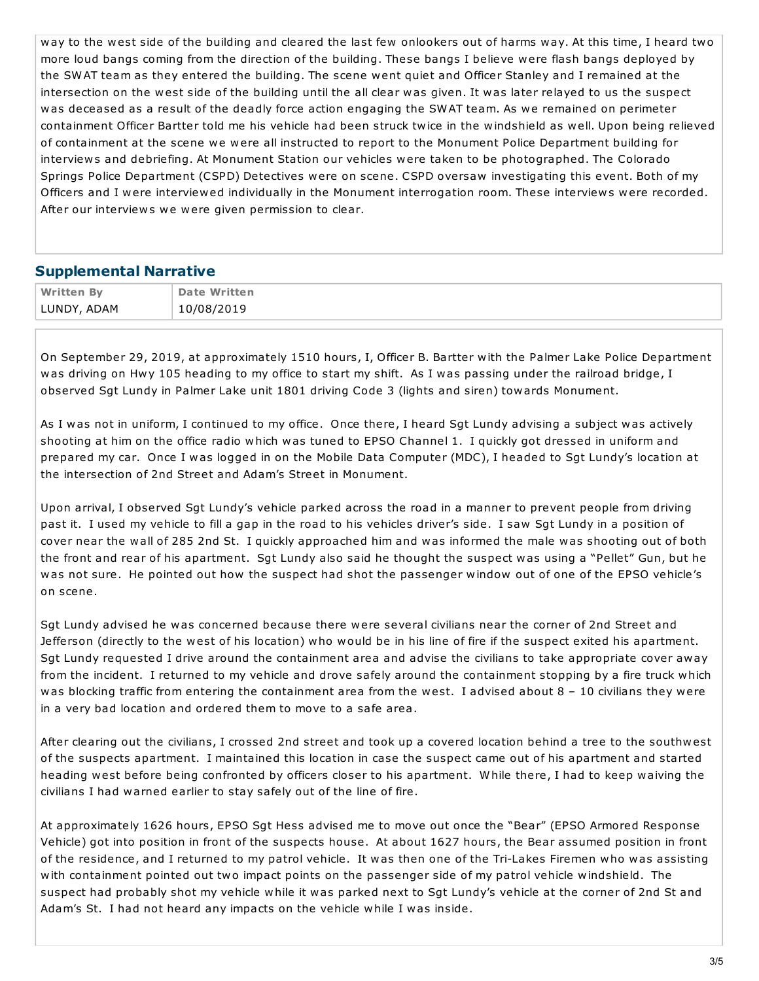way to the west side of the building and cleared the last few onlookers out of harms way. At this time, I heard two more loud bangs coming from the direction of the building. These bangs I believe were flash bangs deployed by the SWAT team as they entered the building. The scene went quiet and Officer Stanley and I remained at the intersection on the west side of the building until the all clear was given. It was later relayed to us the suspect was deceased as a result of the deadly force action engaging the SWAT team. As we remained on perimeter containment Officer Bartter told me his vehicle had been struck twice in the windshield as well. Upon being relieved of containment at the scene we were all instructed to report to the Monument Police Department building for interviews and debriefing. At Monument Station our vehicles were taken to be photographed. The Colorado Springs Police Department (CSPD) Detectives were on scene. CSPD oversaw investigating this event. Both of my Officers and I were interviewed individually in the Monument interrogation room. These interviews were recorded. After our interviews we were given permission to clear.

## **Supplemental Narrative**

| <b>Written By</b> | <b>Date Written</b> |
|-------------------|---------------------|
| LUNDY, ADAM       | 10/08/2019          |

On September 29, 2019, at approximately 1510 hours, I, Officer B. Bartter with the Palmer Lake Police Department was driving on Hwy 105 heading to my office to start my shift. As I was passing under the railroad bridge, I observed Sgt Lundy in Palmer Lake unit 1801 driving Code 3 (lights and siren) towards Monument.

As I was not in uniform, I continued to my office. Once there, I heard Sgt Lundy advising a subject was actively shooting at him on the office radio which was tuned to EPSO Channel 1. I quickly got dressed in uniform and prepared my car. Once I was logged in on the Mobile Data Computer (MDC), I headed to Sgt Lundy's location at the intersection of 2nd Street and Adam's Street in Monument.

Upon arrival, I observed Sgt Lundy's vehicle parked across the road in a manner to prevent people from driving past it. I used my vehicle to fill a gap in the road to his vehicles driver's side. I saw Sgt Lundy in a position of cover near the wall of 285 2nd St. I quickly approached him and was informed the male was shooting out of both the front and rear of his apartment. Sgt Lundy also said he thought the suspect was using a "Pellet" Gun, but he was not sure. He pointed out how the suspect had shot the passenger window out of one of the EPSO vehicle's on scene.

Sgt Lundy advised he was concerned because there were several civilians near the corner of 2nd Street and Jefferson (directly to the west of his location) who would be in his line of fire if the suspect exited his apartment. Sgt Lundy requested I drive around the containment area and advise the civilians to take appropriate cover away from the incident. I returned to my vehicle and drove safely around the containment stopping by a fire truck which was blocking traffic from entering the containment area from the west. I advised about  $8 - 10$  civilians they were in a very bad location and ordered them to move to a safe area.

After clearing out the civilians, I crossed 2nd street and took up a covered location behind a tree to the southwest of the suspects apartment. I maintained this location in case the suspect came out of his apartment and started heading west before being confronted by officers closer to his apartment. While there, I had to keep waiving the civilians I had warned earlier to stay safely out of the line of fire.

At approximately 1626 hours, EPSO Sgt Hess advised me to move out once the "Bear" (EPSO Armored Response Vehicle) got into position in front of the suspects house. At about 1627 hours, the Bear assumed position in front of the residence, and I returned to my patrol vehicle. It was then one of the Tri-Lakes Firemen who was assisting with containment pointed out two impact points on the passenger side of my patrol vehicle windshield. The suspect had probably shot my vehicle while it was parked next to Sgt Lundy's vehicle at the corner of 2nd St and Adam's St. I had not heard any impacts on the vehicle while I was inside.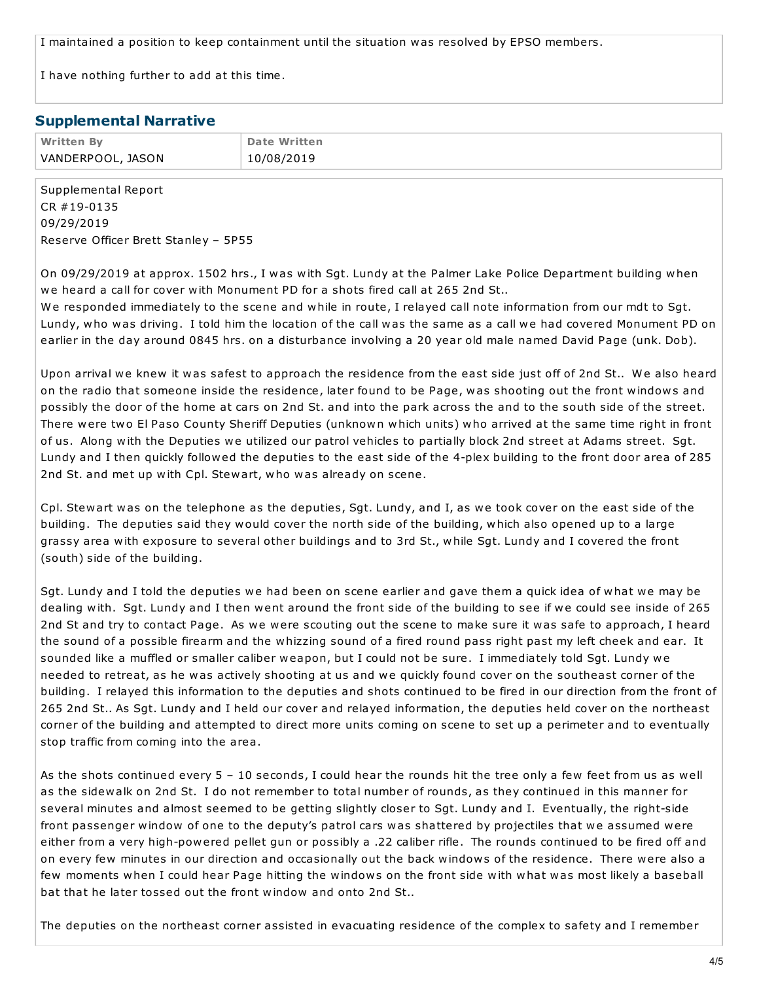I maintained a position to keep containment until the situation was resolved by EPSO members.

I have nothing further to add at this time.

#### **Supplemental Narrative**

| <b>Written By</b> | <b>Date Written</b> |
|-------------------|---------------------|
| VANDERPOOL, JASON | 10/08/2019          |

Supplemental Report CR #19-0135 09/29/2019 Reserve Officer Brett Stanley – 5P55

On 09/29/2019 at approx. 1502 hrs., I was with Sgt. Lundy at the Palmer Lake Police Department building when we heard a call for cover with Monument PD for a shots fired call at 265 2nd St..

We responded immediately to the scene and while in route, I relayed call note information from our mdt to Sgt. Lundy, who was driving. I told him the location of the call was the same as a call we had covered Monument PD on earlier in the day around 0845 hrs. on a disturbance involving a 20 year old male named David Page (unk. Dob).

Upon arrival we knew it was safest to approach the residence from the east side just off of 2nd St.. We also heard on the radio that someone inside the residence, later found to be Page, was shooting out the front windows and possibly the door of the home at cars on 2nd St. and into the park across the and to the south side of the street. There were two El Paso County Sheriff Deputies (unknown which units) who arrived at the same time right in front of us. Along with the Deputies we utilized our patrol vehicles to partially block 2nd street at Adams street. Sgt. Lundy and I then quickly followed the deputies to the east side of the 4-plex building to the front door area of 285 2nd St. and met up with Cpl. Stewart, who was already on scene.

Cpl. Stewart was on the telephone as the deputies, Sgt. Lundy, and I, as we took cover on the east side of the building. The deputies said they would cover the north side of the building, which also opened up to a large grassy area with exposure to several other buildings and to 3rd St., while Sgt. Lundy and I covered the front (south) side of the building.

Sgt. Lundy and I told the deputies we had been on scene earlier and gave them a quick idea of what we may be dealing with. Sgt. Lundy and I then went around the front side of the building to see if we could see inside of 265 2nd St and try to contact Page. As we were scouting out the scene to make sure it was safe to approach, I heard the sound of a possible firearm and the whizzing sound of a fired round pass right past my left cheek and ear. It sounded like a muffled or smaller caliber weapon, but I could not be sure. I immediately told Sgt. Lundy we needed to retreat, as he was actively shooting at us and we quickly found cover on the southeast corner of the building. I relayed this information to the deputies and shots continued to be fired in our direction from the front of 265 2nd St.. As Sgt. Lundy and I held our cover and relayed information, the deputies held cover on the northeast corner of the building and attempted to direct more units coming on scene to set up a perimeter and to eventually stop traffic from coming into the area.

As the shots continued every 5 – 10 seconds, I could hear the rounds hit the tree only a few feet from us as well as the sidewalk on 2nd St. I do not remember to total number of rounds, as they continued in this manner for several minutes and almost seemed to be getting slightly closer to Sgt. Lundy and I. Eventually, the right-side front passenger window of one to the deputy's patrol cars was shattered by projectiles that we assumed were either from a very high-powered pellet gun or possibly a .22 caliber rifle. The rounds continued to be fired off and on every few minutes in our direction and occasionally out the back windows of the residence. There were also a few moments when I could hear Page hitting the windows on the front side with what was most likely a baseball bat that he later tossed out the front window and onto 2nd St..

The deputies on the northeast corner assisted in evacuating residence of the complex to safety and I remember